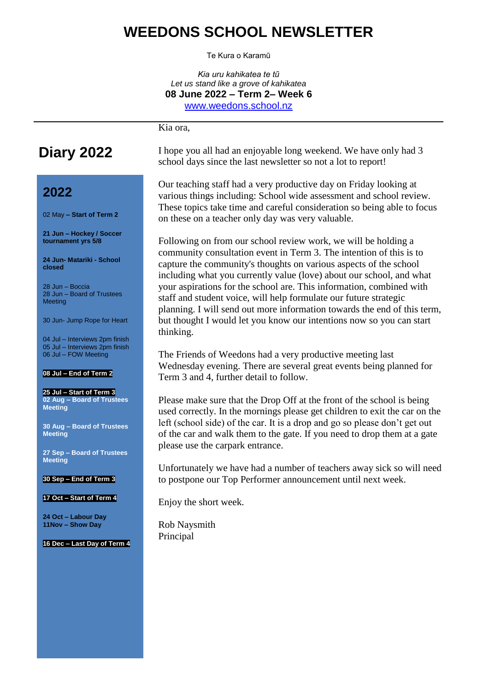### **WEEDONS SCHOOL NEWSLETTER**

Te Kura o Karamū

*Kia uru kahikatea te tũ Let us stand like a grove of kahikatea* **08 June 2022 – Term 2– Week 6** [www.weedons.school.nz](http://www.weedons.school.nz/)

Kia ora,

# **Diary 2022**

### **2022**

02 May **– Start of Term 2**

**21 Jun – Hockey / Soccer tournament yrs 5/8**

**24 Jun- Matariki - School closed**

28 Jun – Boccia 28 Jun – Board of Trustees Meeting

30 Jun- Jump Rope for Heart

04 Jul – Interviews 2pm finish 05 Jul – Interviews 2pm finish 06 Jul – FOW Meeting

#### **08 Jul – End of Term 2**

**25 Jul – Start of Term 3 02 Aug – Board of Trustees Meeting**

**30 Aug – Board of Trustees Meeting**

**27 Sep – Board of Trustees Meeting**

**30 Sep – End of Term 3**

**17 Oct – Start of Term 4**

**24 Oct – Labour Day 11Nov – Show Day**

**16 Dec – Last Day of Term 4**

I hope you all had an enjoyable long weekend. We have only had 3 school days since the last newsletter so not a lot to report!

Our teaching staff had a very productive day on Friday looking at various things including: School wide assessment and school review. These topics take time and careful consideration so being able to focus on these on a teacher only day was very valuable.

Following on from our school review work, we will be holding a community consultation event in Term 3. The intention of this is to capture the community's thoughts on various aspects of the school including what you currently value (love) about our school, and what your aspirations for the school are. This information, combined with staff and student voice, will help formulate our future strategic planning. I will send out more information towards the end of this term, but thought I would let you know our intentions now so you can start thinking.

The Friends of Weedons had a very productive meeting last Wednesday evening. There are several great events being planned for Term 3 and 4, further detail to follow.

Please make sure that the Drop Off at the front of the school is being used correctly. In the mornings please get children to exit the car on the left (school side) of the car. It is a drop and go so please don't get out of the car and walk them to the gate. If you need to drop them at a gate please use the carpark entrance.

Unfortunately we have had a number of teachers away sick so will need to postpone our Top Performer announcement until next week.

Enjoy the short week.

Rob Naysmith Principal